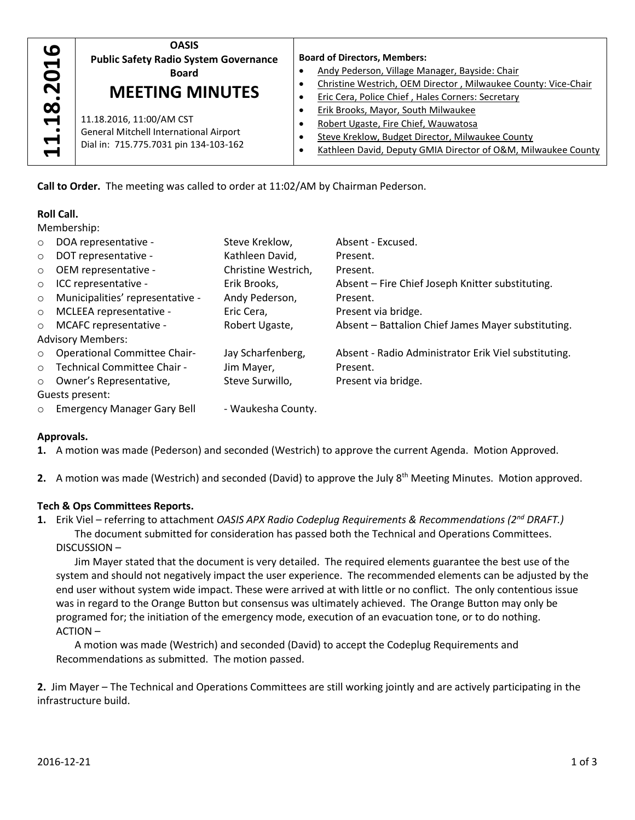| $\mathbf{a}$<br>O<br>$\overline{\mathbf{N}}$<br>$\overline{\mathbf{18}}$<br>$\div$<br>$\overline{\phantom{0}}$ | <b>OASIS</b><br><b>Public Safety Radio System Governance</b><br><b>Board</b><br><b>MEETING MINUTES</b>             | <b>Board of Directors, Members:</b><br>Andy Pederson, Village Manager, Bayside: Chair<br>Christine Westrich, OEM Director, Milwaukee County: Vice-Chair<br>Eric Cera, Police Chief, Hales Corners: Secretary |  |
|----------------------------------------------------------------------------------------------------------------|--------------------------------------------------------------------------------------------------------------------|--------------------------------------------------------------------------------------------------------------------------------------------------------------------------------------------------------------|--|
|                                                                                                                | 11.18.2016, 11:00/AM CST<br><b>General Mitchell International Airport</b><br>Dial in: 715.775.7031 pin 134-103-162 | Erik Brooks, Mayor, South Milwaukee<br>Robert Ugaste, Fire Chief, Wauwatosa<br>Steve Kreklow, Budget Director, Milwaukee County<br>Kathleen David, Deputy GMIA Director of O&M, Milwaukee County             |  |

# **Roll Call.**

| $\blacktriangleleft$                                                                                                                                                                                                                  |                                                                                                                          | 11.18.2016, 11:00/AM CST<br>General Mitchell International Airport<br>Dial in: 715.775.7031 pin 134-103-162               |                                   | $\bullet$<br>$\bullet$ | Robert Ugaste, Fire Chief, Wauwatosa<br>Steve Kreklow, Budget Director, Milwaukee County<br>Kathleen David, Deputy GMIA Director of O&M, Milwaukee C |  |  |  |
|---------------------------------------------------------------------------------------------------------------------------------------------------------------------------------------------------------------------------------------|--------------------------------------------------------------------------------------------------------------------------|---------------------------------------------------------------------------------------------------------------------------|-----------------------------------|------------------------|------------------------------------------------------------------------------------------------------------------------------------------------------|--|--|--|
|                                                                                                                                                                                                                                       |                                                                                                                          | Call to Order. The meeting was called to order at 11:02/AM by Chairman Pederson.                                          |                                   |                        |                                                                                                                                                      |  |  |  |
|                                                                                                                                                                                                                                       | <b>Roll Call.</b>                                                                                                        |                                                                                                                           |                                   |                        |                                                                                                                                                      |  |  |  |
|                                                                                                                                                                                                                                       |                                                                                                                          | Membership:                                                                                                               |                                   |                        |                                                                                                                                                      |  |  |  |
| $\circ$                                                                                                                                                                                                                               |                                                                                                                          | DOA representative -<br>DOT representative -                                                                              | Steve Kreklow,<br>Kathleen David, |                        | Absent - Excused.<br>Present.                                                                                                                        |  |  |  |
| $\circ$<br>$\circ$                                                                                                                                                                                                                    |                                                                                                                          | OEM representative -                                                                                                      | Christine Westrich,               |                        | Present.                                                                                                                                             |  |  |  |
| $\circ$                                                                                                                                                                                                                               |                                                                                                                          | ICC representative -                                                                                                      | Erik Brooks,                      |                        | Absent - Fire Chief Joseph Knitter substituting.                                                                                                     |  |  |  |
| $\circ$                                                                                                                                                                                                                               | Municipalities' representative -                                                                                         |                                                                                                                           | Andy Pederson,                    |                        | Present.                                                                                                                                             |  |  |  |
| $\circ$                                                                                                                                                                                                                               | MCLEEA representative -                                                                                                  |                                                                                                                           | Eric Cera,                        |                        | Present via bridge.                                                                                                                                  |  |  |  |
| $\circ$                                                                                                                                                                                                                               |                                                                                                                          | MCAFC representative -                                                                                                    | Robert Ugaste,                    |                        | Absent - Battalion Chief James Mayer substituting.                                                                                                   |  |  |  |
|                                                                                                                                                                                                                                       |                                                                                                                          | <b>Advisory Members:</b>                                                                                                  |                                   |                        |                                                                                                                                                      |  |  |  |
| $\circ$                                                                                                                                                                                                                               |                                                                                                                          | <b>Operational Committee Chair-</b>                                                                                       | Jay Scharfenberg,                 |                        | Absent - Radio Administrator Erik Viel substituting.                                                                                                 |  |  |  |
| $\circ$                                                                                                                                                                                                                               |                                                                                                                          | Technical Committee Chair -                                                                                               | Jim Mayer,                        |                        | Present.                                                                                                                                             |  |  |  |
| $\circ$                                                                                                                                                                                                                               | Owner's Representative,                                                                                                  |                                                                                                                           | Steve Surwillo,                   |                        | Present via bridge.                                                                                                                                  |  |  |  |
|                                                                                                                                                                                                                                       |                                                                                                                          | Guests present:                                                                                                           |                                   |                        |                                                                                                                                                      |  |  |  |
| $\circ$                                                                                                                                                                                                                               |                                                                                                                          | <b>Emergency Manager Gary Bell</b>                                                                                        | - Waukesha County.                |                        |                                                                                                                                                      |  |  |  |
|                                                                                                                                                                                                                                       |                                                                                                                          |                                                                                                                           |                                   |                        |                                                                                                                                                      |  |  |  |
|                                                                                                                                                                                                                                       | Approvals.                                                                                                               |                                                                                                                           |                                   |                        |                                                                                                                                                      |  |  |  |
|                                                                                                                                                                                                                                       |                                                                                                                          |                                                                                                                           |                                   |                        | 1. A motion was made (Pederson) and seconded (Westrich) to approve the current Agenda. Motion Approved.                                              |  |  |  |
|                                                                                                                                                                                                                                       | 2. A motion was made (Westrich) and seconded (David) to approve the July 8 <sup>th</sup> Meeting Minutes. Motion approve |                                                                                                                           |                                   |                        |                                                                                                                                                      |  |  |  |
|                                                                                                                                                                                                                                       |                                                                                                                          | Tech & Ops Committees Reports.                                                                                            |                                   |                        |                                                                                                                                                      |  |  |  |
| 1. Erik Viel – referring to attachment OASIS APX Radio Codeplug Requirements & Recommendations ( $2^{nd}$ DRAFT.)<br>The document submitted for consideration has passed both the Technical and Operations Committees.<br>DISCUSSION- |                                                                                                                          |                                                                                                                           |                                   |                        |                                                                                                                                                      |  |  |  |
|                                                                                                                                                                                                                                       |                                                                                                                          |                                                                                                                           |                                   |                        | Jim Mayer stated that the document is very detailed. The required elements guarantee the best use of the                                             |  |  |  |
| system and should not negatively impact the user experience. The recommended elements can be adjusted by t<br>end user without system wide impact. These were arrived at with little or no conflict. The only contentious issue       |                                                                                                                          |                                                                                                                           |                                   |                        |                                                                                                                                                      |  |  |  |
|                                                                                                                                                                                                                                       |                                                                                                                          |                                                                                                                           |                                   |                        |                                                                                                                                                      |  |  |  |
|                                                                                                                                                                                                                                       |                                                                                                                          | programed for; the initiation of the emergency mode, execution of an evacuation tone, or to do nothing.<br><b>ACTION-</b> |                                   |                        |                                                                                                                                                      |  |  |  |
|                                                                                                                                                                                                                                       |                                                                                                                          |                                                                                                                           |                                   |                        | A motion was made (Westrich) and seconded (David) to accept the Codeplug Requirements and                                                            |  |  |  |
|                                                                                                                                                                                                                                       |                                                                                                                          | Recommendations as submitted. The motion passed.                                                                          |                                   |                        |                                                                                                                                                      |  |  |  |
|                                                                                                                                                                                                                                       |                                                                                                                          |                                                                                                                           |                                   |                        | 2. Jim Mayer - The Technical and Operations Committees are still working jointly and are actively participating in th                                |  |  |  |
|                                                                                                                                                                                                                                       |                                                                                                                          | infrastructure build.                                                                                                     |                                   |                        |                                                                                                                                                      |  |  |  |

# **Approvals.**

# **Tech & Ops Committees Reports.**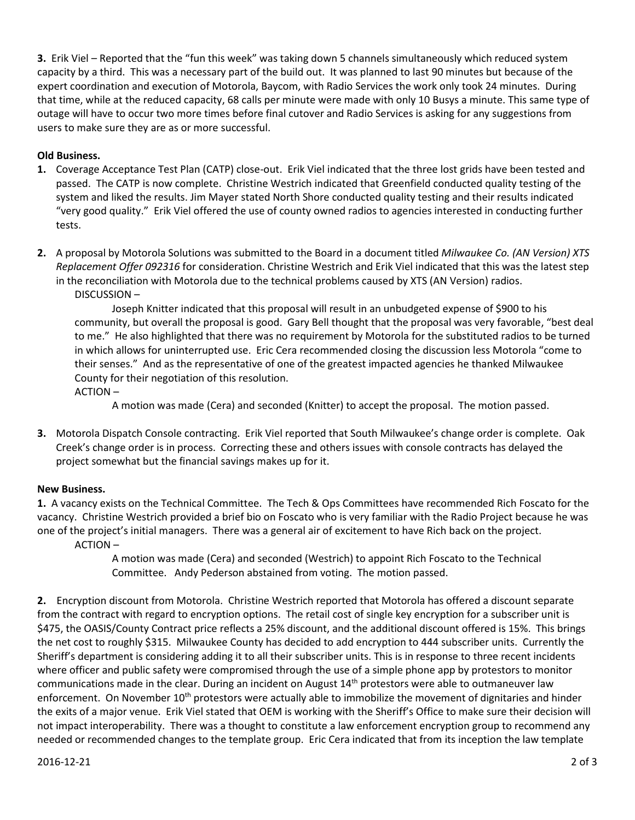**3.** Erik Viel – Reported that the "fun this week" was taking down 5 channels simultaneously which reduced system capacity by a third. This was a necessary part of the build out. It was planned to last 90 minutes but because of the expert coordination and execution of Motorola, Baycom, with Radio Services the work only took 24 minutes. During that time, while at the reduced capacity, 68 calls per minute were made with only 10 Busys a minute. This same type of outage will have to occur two more times before final cutover and Radio Services is asking for any suggestions from users to make sure they are as or more successful.

# **Old Business.**

- **1.** Coverage Acceptance Test Plan (CATP) close-out. Erik Viel indicated that the three lost grids have been tested and passed. The CATP is now complete. Christine Westrich indicated that Greenfield conducted quality testing of the system and liked the results. Jim Mayer stated North Shore conducted quality testing and their results indicated "very good quality." Erik Viel offered the use of county owned radios to agencies interested in conducting further tests.
- **2.** A proposal by Motorola Solutions was submitted to the Board in a document titled *Milwaukee Co. (AN Version) XTS Replacement Offer 092316* for consideration. Christine Westrich and Erik Viel indicated that this was the latest step in the reconciliation with Motorola due to the technical problems caused by XTS (AN Version) radios.

DISCUSSION –

Joseph Knitter indicated that this proposal will result in an unbudgeted expense of \$900 to his community, but overall the proposal is good. Gary Bell thought that the proposal was very favorable, "best deal to me." He also highlighted that there was no requirement by Motorola for the substituted radios to be turned in which allows for uninterrupted use. Eric Cera recommended closing the discussion less Motorola "come to their senses." And as the representative of one of the greatest impacted agencies he thanked Milwaukee County for their negotiation of this resolution.

ACTION –

A motion was made (Cera) and seconded (Knitter) to accept the proposal. The motion passed.

**3.** Motorola Dispatch Console contracting. Erik Viel reported that South Milwaukee's change order is complete. Oak Creek's change order is in process. Correcting these and others issues with console contracts has delayed the project somewhat but the financial savings makes up for it.

# **New Business.**

**1.** A vacancy exists on the Technical Committee. The Tech & Ops Committees have recommended Rich Foscato for the vacancy. Christine Westrich provided a brief bio on Foscato who is very familiar with the Radio Project because he was one of the project's initial managers. There was a general air of excitement to have Rich back on the project.

ACTION –

A motion was made (Cera) and seconded (Westrich) to appoint Rich Foscato to the Technical Committee. Andy Pederson abstained from voting. The motion passed.

**2.** Encryption discount from Motorola. Christine Westrich reported that Motorola has offered a discount separate from the contract with regard to encryption options. The retail cost of single key encryption for a subscriber unit is \$475, the OASIS/County Contract price reflects a 25% discount, and the additional discount offered is 15%. This brings the net cost to roughly \$315. Milwaukee County has decided to add encryption to 444 subscriber units. Currently the Sheriff's department is considering adding it to all their subscriber units. This is in response to three recent incidents where officer and public safety were compromised through the use of a simple phone app by protestors to monitor communications made in the clear. During an incident on August 14<sup>th</sup> protestors were able to outmaneuver law enforcement. On November  $10<sup>th</sup>$  protestors were actually able to immobilize the movement of dignitaries and hinder the exits of a major venue. Erik Viel stated that OEM is working with the Sheriff's Office to make sure their decision will not impact interoperability. There was a thought to constitute a law enforcement encryption group to recommend any needed or recommended changes to the template group. Eric Cera indicated that from its inception the law template